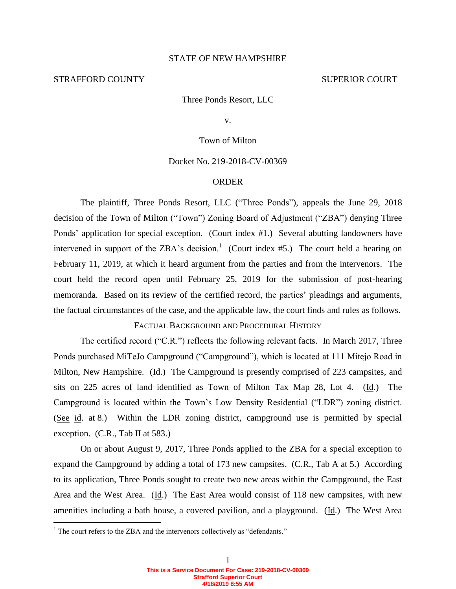## STATE OF NEW HAMPSHIRE

## STRAFFORD COUNTY SUPERIOR COURT

Three Ponds Resort, LLC

v.

## Town of Milton

# Docket No. 219-2018-CV-00369

### ORDER

 The plaintiff, Three Ponds Resort, LLC ("Three Ponds"), appeals the June 29, 2018 decision of the Town of Milton ("Town") Zoning Board of Adjustment ("ZBA") denying Three Ponds' application for special exception. (Court index #1.) Several abutting landowners have intervened in support of the ZBA's decision.<sup>1</sup> (Court index #5.) The court held a hearing on February 11, 2019, at which it heard argument from the parties and from the intervenors. The court held the record open until February 25, 2019 for the submission of post-hearing memoranda. Based on its review of the certified record, the parties' pleadings and arguments, the factual circumstances of the case, and the applicable law, the court finds and rules as follows.

FACTUAL BACKGROUND AND PROCEDURAL HISTORY

The certified record ("C.R.") reflects the following relevant facts. In March 2017, Three Ponds purchased MiTeJo Campground ("Campground"), which is located at 111 Mitejo Road in Milton, New Hampshire. (Id.) The Campground is presently comprised of 223 campsites, and sits on 225 acres of land identified as Town of Milton Tax Map 28, Lot 4. (Id.) The Campground is located within the Town's Low Density Residential ("LDR") zoning district. (See id. at 8.) Within the LDR zoning district, campground use is permitted by special exception. (C.R., Tab II at 583.)

 On or about August 9, 2017, Three Ponds applied to the ZBA for a special exception to expand the Campground by adding a total of 173 new campsites. (C.R., Tab A at 5.) According to its application, Three Ponds sought to create two new areas within the Campground, the East Area and the West Area. (Id.) The East Area would consist of 118 new campsites, with new amenities including a bath house, a covered pavilion, and a playground. (Id.) The West Area

 $\overline{a}$ 

 $1$ <sup>1</sup> The court refers to the ZBA and the intervenors collectively as "defendants."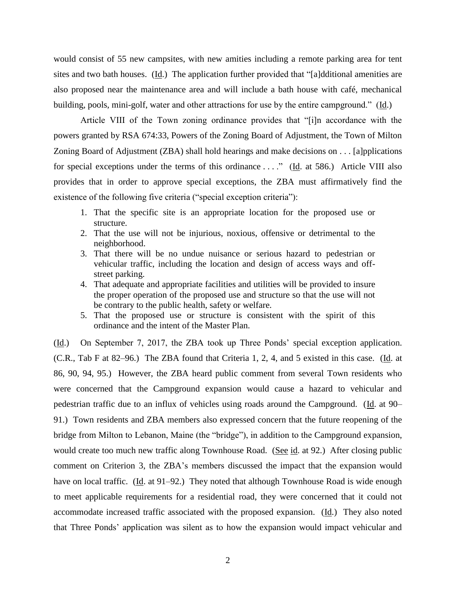would consist of 55 new campsites, with new amities including a remote parking area for tent sites and two bath houses. (Id.) The application further provided that "[a]dditional amenities are also proposed near the maintenance area and will include a bath house with café, mechanical building, pools, mini-golf, water and other attractions for use by the entire campground." (Id.)

Article VIII of the Town zoning ordinance provides that "[i]n accordance with the powers granted by RSA 674:33, Powers of the Zoning Board of Adjustment, the Town of Milton Zoning Board of Adjustment (ZBA) shall hold hearings and make decisions on . . . [a]pplications for special exceptions under the terms of this ordinance ...." (Id. at 586.) Article VIII also provides that in order to approve special exceptions, the ZBA must affirmatively find the existence of the following five criteria ("special exception criteria"):

- 1. That the specific site is an appropriate location for the proposed use or structure.
- 2. That the use will not be injurious, noxious, offensive or detrimental to the neighborhood.
- 3. That there will be no undue nuisance or serious hazard to pedestrian or vehicular traffic, including the location and design of access ways and offstreet parking.
- 4. That adequate and appropriate facilities and utilities will be provided to insure the proper operation of the proposed use and structure so that the use will not be contrary to the public health, safety or welfare.
- 5. That the proposed use or structure is consistent with the spirit of this ordinance and the intent of the Master Plan.

(Id.) On September 7, 2017, the ZBA took up Three Ponds' special exception application. (C.R., Tab F at 82–96.) The ZBA found that Criteria 1, 2, 4, and 5 existed in this case. (Id. at 86, 90, 94, 95.) However, the ZBA heard public comment from several Town residents who were concerned that the Campground expansion would cause a hazard to vehicular and pedestrian traffic due to an influx of vehicles using roads around the Campground. (Id. at 90– 91.) Town residents and ZBA members also expressed concern that the future reopening of the bridge from Milton to Lebanon, Maine (the "bridge"), in addition to the Campground expansion, would create too much new traffic along Townhouse Road. (See id. at 92.) After closing public comment on Criterion 3, the ZBA's members discussed the impact that the expansion would have on local traffic. (Id. at 91–92.) They noted that although Townhouse Road is wide enough to meet applicable requirements for a residential road, they were concerned that it could not accommodate increased traffic associated with the proposed expansion. (Id.) They also noted that Three Ponds' application was silent as to how the expansion would impact vehicular and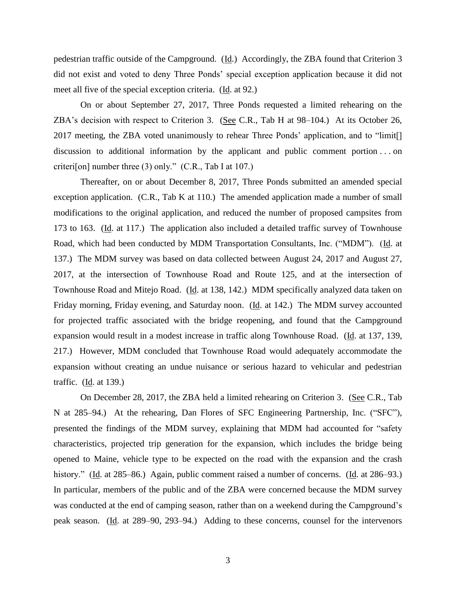pedestrian traffic outside of the Campground. (Id.) Accordingly, the ZBA found that Criterion 3 did not exist and voted to deny Three Ponds' special exception application because it did not meet all five of the special exception criteria. (Id. at 92.)

On or about September 27, 2017, Three Ponds requested a limited rehearing on the ZBA's decision with respect to Criterion 3. (See C.R., Tab H at 98–104.) At its October 26, 2017 meeting, the ZBA voted unanimously to rehear Three Ponds' application, and to "limit[] discussion to additional information by the applicant and public comment portion . . . on criteri[on] number three (3) only." (C.R., Tab I at 107.)

Thereafter, on or about December 8, 2017, Three Ponds submitted an amended special exception application. (C.R., Tab K at 110.) The amended application made a number of small modifications to the original application, and reduced the number of proposed campsites from 173 to 163. (Id. at 117.) The application also included a detailed traffic survey of Townhouse Road, which had been conducted by MDM Transportation Consultants, Inc. ("MDM"). (Id. at 137.) The MDM survey was based on data collected between August 24, 2017 and August 27, 2017, at the intersection of Townhouse Road and Route 125, and at the intersection of Townhouse Road and Mitejo Road. (Id. at 138, 142.) MDM specifically analyzed data taken on Friday morning, Friday evening, and Saturday noon. (Id. at 142.) The MDM survey accounted for projected traffic associated with the bridge reopening, and found that the Campground expansion would result in a modest increase in traffic along Townhouse Road. (Id. at 137, 139, 217.) However, MDM concluded that Townhouse Road would adequately accommodate the expansion without creating an undue nuisance or serious hazard to vehicular and pedestrian traffic. (Id. at 139.)

On December 28, 2017, the ZBA held a limited rehearing on Criterion 3. (See C.R., Tab N at 285–94.) At the rehearing, Dan Flores of SFC Engineering Partnership, Inc. ("SFC"), presented the findings of the MDM survey, explaining that MDM had accounted for "safety characteristics, projected trip generation for the expansion, which includes the bridge being opened to Maine, vehicle type to be expected on the road with the expansion and the crash history." (Id. at 285–86.) Again, public comment raised a number of concerns. (Id. at 286–93.) In particular, members of the public and of the ZBA were concerned because the MDM survey was conducted at the end of camping season, rather than on a weekend during the Campground's peak season. (Id. at 289-90, 293-94.) Adding to these concerns, counsel for the intervenors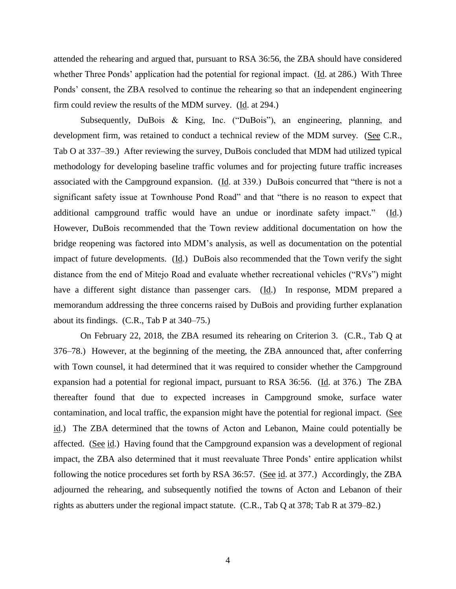attended the rehearing and argued that, pursuant to RSA 36:56, the ZBA should have considered whether Three Ponds' application had the potential for regional impact. (Id. at 286.) With Three Ponds' consent, the ZBA resolved to continue the rehearing so that an independent engineering firm could review the results of the MDM survey. (Id. at 294.)

Subsequently, DuBois & King, Inc. ("DuBois"), an engineering, planning, and development firm, was retained to conduct a technical review of the MDM survey. (See C.R., Tab O at 337–39.) After reviewing the survey, DuBois concluded that MDM had utilized typical methodology for developing baseline traffic volumes and for projecting future traffic increases associated with the Campground expansion. (Id. at 339.) DuBois concurred that "there is not a significant safety issue at Townhouse Pond Road" and that "there is no reason to expect that additional campground traffic would have an undue or inordinate safety impact." (Id.) However, DuBois recommended that the Town review additional documentation on how the bridge reopening was factored into MDM's analysis, as well as documentation on the potential impact of future developments. (Id.) DuBois also recommended that the Town verify the sight distance from the end of Mitejo Road and evaluate whether recreational vehicles ("RVs") might have a different sight distance than passenger cars.  $(\underline{Id})$  In response, MDM prepared a memorandum addressing the three concerns raised by DuBois and providing further explanation about its findings. (C.R., Tab P at 340–75.)

On February 22, 2018, the ZBA resumed its rehearing on Criterion 3. (C.R., Tab Q at 376–78.) However, at the beginning of the meeting, the ZBA announced that, after conferring with Town counsel, it had determined that it was required to consider whether the Campground expansion had a potential for regional impact, pursuant to RSA 36:56. (Id. at 376.) The ZBA thereafter found that due to expected increases in Campground smoke, surface water contamination, and local traffic, the expansion might have the potential for regional impact. (See id.) The ZBA determined that the towns of Acton and Lebanon, Maine could potentially be affected. (See id.) Having found that the Campground expansion was a development of regional impact, the ZBA also determined that it must reevaluate Three Ponds' entire application whilst following the notice procedures set forth by RSA 36:57. (See id. at 377.) Accordingly, the ZBA adjourned the rehearing, and subsequently notified the towns of Acton and Lebanon of their rights as abutters under the regional impact statute. (C.R., Tab Q at 378; Tab R at 379–82.)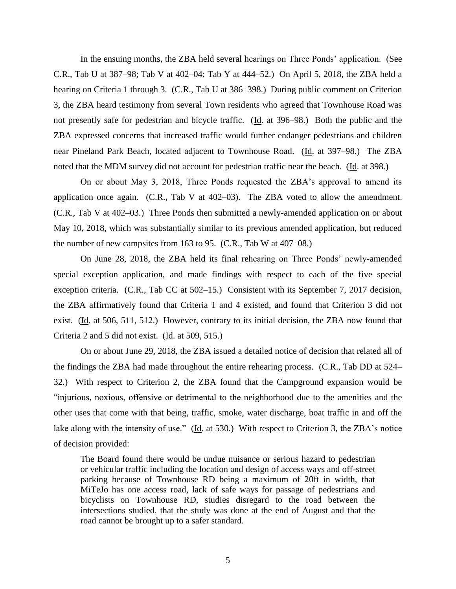In the ensuing months, the ZBA held several hearings on Three Ponds' application. (See C.R., Tab U at 387–98; Tab V at 402–04; Tab Y at 444–52.) On April 5, 2018, the ZBA held a hearing on Criteria 1 through 3. (C.R., Tab U at 386–398.) During public comment on Criterion 3, the ZBA heard testimony from several Town residents who agreed that Townhouse Road was not presently safe for pedestrian and bicycle traffic. (Id. at 396–98.) Both the public and the ZBA expressed concerns that increased traffic would further endanger pedestrians and children near Pineland Park Beach, located adjacent to Townhouse Road. (Id. at 397–98.) The ZBA noted that the MDM survey did not account for pedestrian traffic near the beach. (Id. at 398.)

On or about May 3, 2018, Three Ponds requested the ZBA's approval to amend its application once again. (C.R., Tab V at 402–03). The ZBA voted to allow the amendment. (C.R., Tab V at 402–03.) Three Ponds then submitted a newly-amended application on or about May 10, 2018, which was substantially similar to its previous amended application, but reduced the number of new campsites from 163 to 95. (C.R., Tab W at 407–08.)

On June 28, 2018, the ZBA held its final rehearing on Three Ponds' newly-amended special exception application, and made findings with respect to each of the five special exception criteria. (C.R., Tab CC at 502–15.) Consistent with its September 7, 2017 decision, the ZBA affirmatively found that Criteria 1 and 4 existed, and found that Criterion 3 did not exist. (Id. at 506, 511, 512.) However, contrary to its initial decision, the ZBA now found that Criteria 2 and 5 did not exist. (Id. at 509, 515.)

On or about June 29, 2018, the ZBA issued a detailed notice of decision that related all of the findings the ZBA had made throughout the entire rehearing process. (C.R., Tab DD at 524– 32.) With respect to Criterion 2, the ZBA found that the Campground expansion would be "injurious, noxious, offensive or detrimental to the neighborhood due to the amenities and the other uses that come with that being, traffic, smoke, water discharge, boat traffic in and off the lake along with the intensity of use." (Id. at 530.) With respect to Criterion 3, the ZBA's notice of decision provided:

The Board found there would be undue nuisance or serious hazard to pedestrian or vehicular traffic including the location and design of access ways and off-street parking because of Townhouse RD being a maximum of 20ft in width, that MiTeJo has one access road, lack of safe ways for passage of pedestrians and bicyclists on Townhouse RD, studies disregard to the road between the intersections studied, that the study was done at the end of August and that the road cannot be brought up to a safer standard.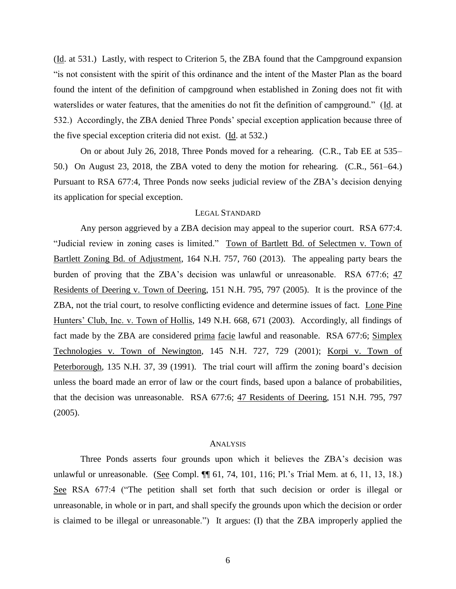(Id. at 531.) Lastly, with respect to Criterion 5, the ZBA found that the Campground expansion "is not consistent with the spirit of this ordinance and the intent of the Master Plan as the board found the intent of the definition of campground when established in Zoning does not fit with waterslides or water features, that the amenities do not fit the definition of campground." (Id. at 532.) Accordingly, the ZBA denied Three Ponds' special exception application because three of the five special exception criteria did not exist. (Id. at 532.)

On or about July 26, 2018, Three Ponds moved for a rehearing. (C.R., Tab EE at 535– 50.) On August 23, 2018, the ZBA voted to deny the motion for rehearing. (C.R., 561–64.) Pursuant to RSA 677:4, Three Ponds now seeks judicial review of the ZBA's decision denying its application for special exception.

# LEGAL STANDARD

Any person aggrieved by a ZBA decision may appeal to the superior court. RSA 677:4. "Judicial review in zoning cases is limited." Town of Bartlett Bd. of Selectmen v. Town of Bartlett Zoning Bd. of Adjustment, 164 N.H. 757, 760 (2013). The appealing party bears the burden of proving that the ZBA's decision was unlawful or unreasonable. RSA 677:6; 47 Residents of Deering v. Town of Deering, 151 N.H. 795, 797 (2005). It is the province of the ZBA, not the trial court, to resolve conflicting evidence and determine issues of fact. Lone Pine Hunters' Club, Inc. v. Town of Hollis, 149 N.H. 668, 671 (2003). Accordingly, all findings of fact made by the ZBA are considered prima facie lawful and reasonable. RSA 677:6; Simplex Technologies v. Town of Newington, 145 N.H. 727, 729 (2001); Korpi v. Town of Peterborough, 135 N.H. 37, 39 (1991). The trial court will affirm the zoning board's decision unless the board made an error of law or the court finds, based upon a balance of probabilities, that the decision was unreasonable. RSA 677:6; 47 Residents of Deering, 151 N.H. 795, 797 (2005).

#### **ANALYSIS**

Three Ponds asserts four grounds upon which it believes the ZBA's decision was unlawful or unreasonable. (See Compl. ¶ 61, 74, 101, 116; Pl.'s Trial Mem. at 6, 11, 13, 18.) See RSA 677:4 ("The petition shall set forth that such decision or order is illegal or unreasonable, in whole or in part, and shall specify the grounds upon which the decision or order is claimed to be illegal or unreasonable.") It argues: (I) that the ZBA improperly applied the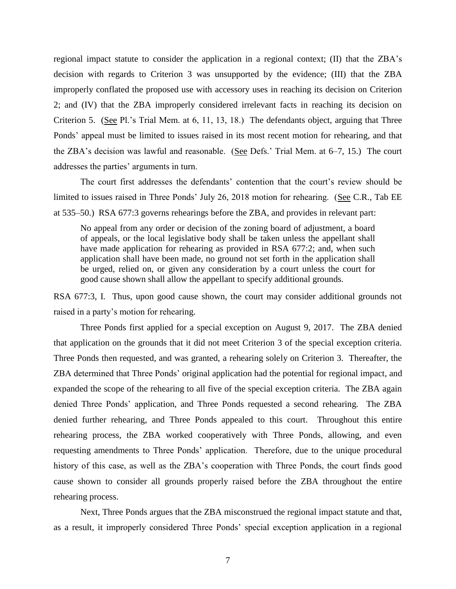regional impact statute to consider the application in a regional context; (II) that the ZBA's decision with regards to Criterion 3 was unsupported by the evidence; (III) that the ZBA improperly conflated the proposed use with accessory uses in reaching its decision on Criterion 2; and (IV) that the ZBA improperly considered irrelevant facts in reaching its decision on Criterion 5. (See Pl.'s Trial Mem. at 6, 11, 13, 18.) The defendants object, arguing that Three Ponds' appeal must be limited to issues raised in its most recent motion for rehearing, and that the ZBA's decision was lawful and reasonable. (See Defs.' Trial Mem. at 6–7, 15.) The court addresses the parties' arguments in turn.

The court first addresses the defendants' contention that the court's review should be limited to issues raised in Three Ponds' July 26, 2018 motion for rehearing. (See C.R., Tab EE at 535–50.) RSA 677:3 governs rehearings before the ZBA, and provides in relevant part:

No appeal from any order or decision of the zoning board of adjustment, a board of appeals, or the local legislative body shall be taken unless the appellant shall have made application for rehearing as provided in RSA 677:2; and, when such application shall have been made, no ground not set forth in the application shall be urged, relied on, or given any consideration by a court unless the court for good cause shown shall allow the appellant to specify additional grounds.

RSA 677:3, I. Thus, upon good cause shown, the court may consider additional grounds not raised in a party's motion for rehearing.

Three Ponds first applied for a special exception on August 9, 2017. The ZBA denied that application on the grounds that it did not meet Criterion 3 of the special exception criteria. Three Ponds then requested, and was granted, a rehearing solely on Criterion 3. Thereafter, the ZBA determined that Three Ponds' original application had the potential for regional impact, and expanded the scope of the rehearing to all five of the special exception criteria. The ZBA again denied Three Ponds' application, and Three Ponds requested a second rehearing. The ZBA denied further rehearing, and Three Ponds appealed to this court. Throughout this entire rehearing process, the ZBA worked cooperatively with Three Ponds, allowing, and even requesting amendments to Three Ponds' application. Therefore, due to the unique procedural history of this case, as well as the ZBA's cooperation with Three Ponds, the court finds good cause shown to consider all grounds properly raised before the ZBA throughout the entire rehearing process.

Next, Three Ponds argues that the ZBA misconstrued the regional impact statute and that, as a result, it improperly considered Three Ponds' special exception application in a regional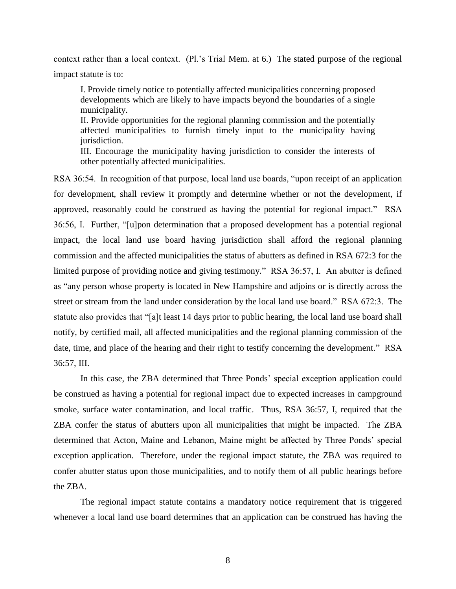context rather than a local context. (Pl.'s Trial Mem. at 6.) The stated purpose of the regional impact statute is to:

I. Provide timely notice to potentially affected municipalities concerning proposed developments which are likely to have impacts beyond the boundaries of a single municipality.

II. Provide opportunities for the regional planning commission and the potentially affected municipalities to furnish timely input to the municipality having jurisdiction.

III. Encourage the municipality having jurisdiction to consider the interests of other potentially affected municipalities.

RSA 36:54. In recognition of that purpose, local land use boards, "upon receipt of an application for development, shall review it promptly and determine whether or not the development, if approved, reasonably could be construed as having the potential for regional impact." RSA 36:56, I. Further, "[u]pon determination that a proposed development has a potential regional impact, the local land use board having jurisdiction shall afford the regional planning commission and the affected municipalities the status of abutters as defined in RSA 672:3 for the limited purpose of providing notice and giving testimony." RSA 36:57, I. An abutter is defined as "any person whose property is located in New Hampshire and adjoins or is directly across the street or stream from the land under consideration by the local land use board." RSA 672:3. The statute also provides that "[a]t least 14 days prior to public hearing, the local land use board shall notify, by certified mail, all affected municipalities and the regional planning commission of the date, time, and place of the hearing and their right to testify concerning the development." RSA 36:57, III.

In this case, the ZBA determined that Three Ponds' special exception application could be construed as having a potential for regional impact due to expected increases in campground smoke, surface water contamination, and local traffic. Thus, RSA 36:57, I, required that the ZBA confer the status of abutters upon all municipalities that might be impacted. The ZBA determined that Acton, Maine and Lebanon, Maine might be affected by Three Ponds' special exception application. Therefore, under the regional impact statute, the ZBA was required to confer abutter status upon those municipalities, and to notify them of all public hearings before the ZBA.

The regional impact statute contains a mandatory notice requirement that is triggered whenever a local land use board determines that an application can be construed has having the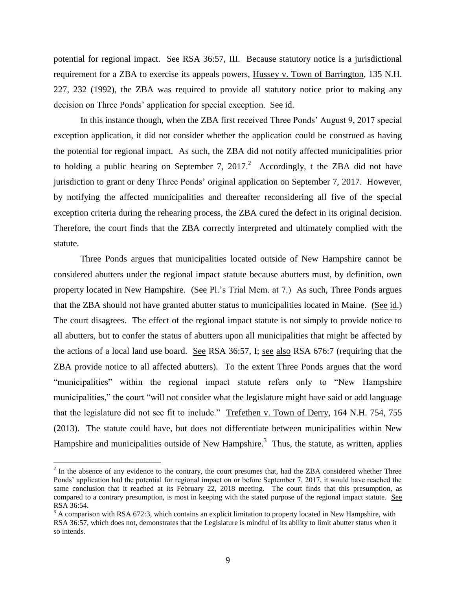potential for regional impact. See RSA 36:57, III. Because statutory notice is a jurisdictional requirement for a ZBA to exercise its appeals powers, Hussey v. Town of Barrington, 135 N.H. 227, 232 (1992), the ZBA was required to provide all statutory notice prior to making any decision on Three Ponds' application for special exception. See id.

In this instance though, when the ZBA first received Three Ponds' August 9, 2017 special exception application, it did not consider whether the application could be construed as having the potential for regional impact. As such, the ZBA did not notify affected municipalities prior to holding a public hearing on September 7, 2017.<sup>2</sup> Accordingly, t the ZBA did not have jurisdiction to grant or deny Three Ponds' original application on September 7, 2017. However, by notifying the affected municipalities and thereafter reconsidering all five of the special exception criteria during the rehearing process, the ZBA cured the defect in its original decision. Therefore, the court finds that the ZBA correctly interpreted and ultimately complied with the statute.

Three Ponds argues that municipalities located outside of New Hampshire cannot be considered abutters under the regional impact statute because abutters must, by definition, own property located in New Hampshire. (See Pl.'s Trial Mem. at 7.) As such, Three Ponds argues that the ZBA should not have granted abutter status to municipalities located in Maine. (See id.) The court disagrees. The effect of the regional impact statute is not simply to provide notice to all abutters, but to confer the status of abutters upon all municipalities that might be affected by the actions of a local land use board. See RSA 36:57, I; see also RSA 676:7 (requiring that the ZBA provide notice to all affected abutters). To the extent Three Ponds argues that the word "municipalities" within the regional impact statute refers only to "New Hampshire municipalities," the court "will not consider what the legislature might have said or add language that the legislature did not see fit to include." Trefethen v. Town of Derry, 164 N.H. 754, 755 (2013). The statute could have, but does not differentiate between municipalities within New Hampshire and municipalities outside of New Hampshire.<sup>3</sup> Thus, the statute, as written, applies

 $\overline{a}$ 

 $2$  In the absence of any evidence to the contrary, the court presumes that, had the ZBA considered whether Three Ponds' application had the potential for regional impact on or before September 7, 2017, it would have reached the same conclusion that it reached at its February 22, 2018 meeting. The court finds that this presumption, as compared to a contrary presumption, is most in keeping with the stated purpose of the regional impact statute. See RSA 36:54.

 $3$  A comparison with RSA 672:3, which contains an explicit limitation to property located in New Hampshire, with RSA 36:57, which does not, demonstrates that the Legislature is mindful of its ability to limit abutter status when it so intends.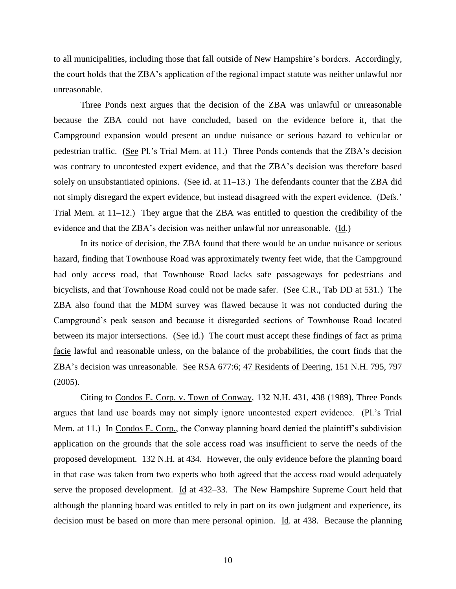to all municipalities, including those that fall outside of New Hampshire's borders. Accordingly, the court holds that the ZBA's application of the regional impact statute was neither unlawful nor unreasonable.

Three Ponds next argues that the decision of the ZBA was unlawful or unreasonable because the ZBA could not have concluded, based on the evidence before it, that the Campground expansion would present an undue nuisance or serious hazard to vehicular or pedestrian traffic. (See Pl.'s Trial Mem. at 11.) Three Ponds contends that the ZBA's decision was contrary to uncontested expert evidence, and that the ZBA's decision was therefore based solely on unsubstantiated opinions. (See id. at 11–13.) The defendants counter that the ZBA did not simply disregard the expert evidence, but instead disagreed with the expert evidence. (Defs.' Trial Mem. at 11–12.) They argue that the ZBA was entitled to question the credibility of the evidence and that the ZBA's decision was neither unlawful nor unreasonable. (Id.)

In its notice of decision, the ZBA found that there would be an undue nuisance or serious hazard, finding that Townhouse Road was approximately twenty feet wide, that the Campground had only access road, that Townhouse Road lacks safe passageways for pedestrians and bicyclists, and that Townhouse Road could not be made safer. (See C.R., Tab DD at 531.) The ZBA also found that the MDM survey was flawed because it was not conducted during the Campground's peak season and because it disregarded sections of Townhouse Road located between its major intersections. (See id.) The court must accept these findings of fact as prima facie lawful and reasonable unless, on the balance of the probabilities, the court finds that the ZBA's decision was unreasonable. See RSA 677:6; 47 Residents of Deering, 151 N.H. 795, 797 (2005).

Citing to Condos E. Corp. v. Town of Conway, 132 N.H. 431, 438 (1989), Three Ponds argues that land use boards may not simply ignore uncontested expert evidence. (Pl.'s Trial Mem. at 11.) In Condos E. Corp., the Conway planning board denied the plaintiff's subdivision application on the grounds that the sole access road was insufficient to serve the needs of the proposed development. 132 N.H. at 434. However, the only evidence before the planning board in that case was taken from two experts who both agreed that the access road would adequately serve the proposed development. Id at 432–33. The New Hampshire Supreme Court held that although the planning board was entitled to rely in part on its own judgment and experience, its decision must be based on more than mere personal opinion. Id. at 438. Because the planning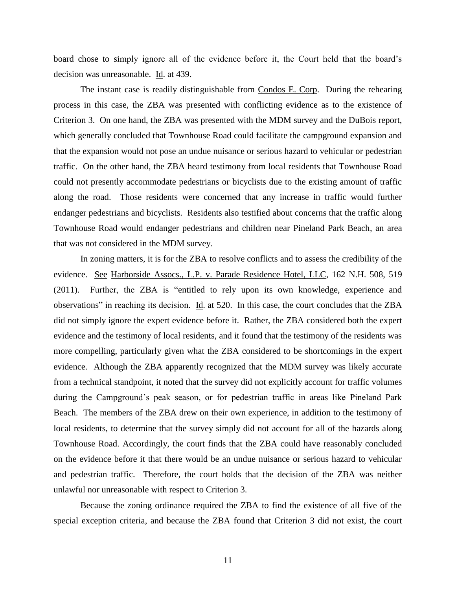board chose to simply ignore all of the evidence before it, the Court held that the board's decision was unreasonable. Id. at 439.

The instant case is readily distinguishable from Condos E. Corp. During the rehearing process in this case, the ZBA was presented with conflicting evidence as to the existence of Criterion 3. On one hand, the ZBA was presented with the MDM survey and the DuBois report, which generally concluded that Townhouse Road could facilitate the campground expansion and that the expansion would not pose an undue nuisance or serious hazard to vehicular or pedestrian traffic. On the other hand, the ZBA heard testimony from local residents that Townhouse Road could not presently accommodate pedestrians or bicyclists due to the existing amount of traffic along the road. Those residents were concerned that any increase in traffic would further endanger pedestrians and bicyclists. Residents also testified about concerns that the traffic along Townhouse Road would endanger pedestrians and children near Pineland Park Beach, an area that was not considered in the MDM survey.

In zoning matters, it is for the ZBA to resolve conflicts and to assess the credibility of the evidence. See Harborside Assocs., L.P. v. Parade Residence Hotel, LLC, 162 N.H. 508, 519 (2011). Further, the ZBA is "entitled to rely upon its own knowledge, experience and observations" in reaching its decision. Id. at 520. In this case, the court concludes that the ZBA did not simply ignore the expert evidence before it. Rather, the ZBA considered both the expert evidence and the testimony of local residents, and it found that the testimony of the residents was more compelling, particularly given what the ZBA considered to be shortcomings in the expert evidence. Although the ZBA apparently recognized that the MDM survey was likely accurate from a technical standpoint, it noted that the survey did not explicitly account for traffic volumes during the Campground's peak season, or for pedestrian traffic in areas like Pineland Park Beach. The members of the ZBA drew on their own experience, in addition to the testimony of local residents, to determine that the survey simply did not account for all of the hazards along Townhouse Road. Accordingly, the court finds that the ZBA could have reasonably concluded on the evidence before it that there would be an undue nuisance or serious hazard to vehicular and pedestrian traffic. Therefore, the court holds that the decision of the ZBA was neither unlawful nor unreasonable with respect to Criterion 3.

Because the zoning ordinance required the ZBA to find the existence of all five of the special exception criteria, and because the ZBA found that Criterion 3 did not exist, the court